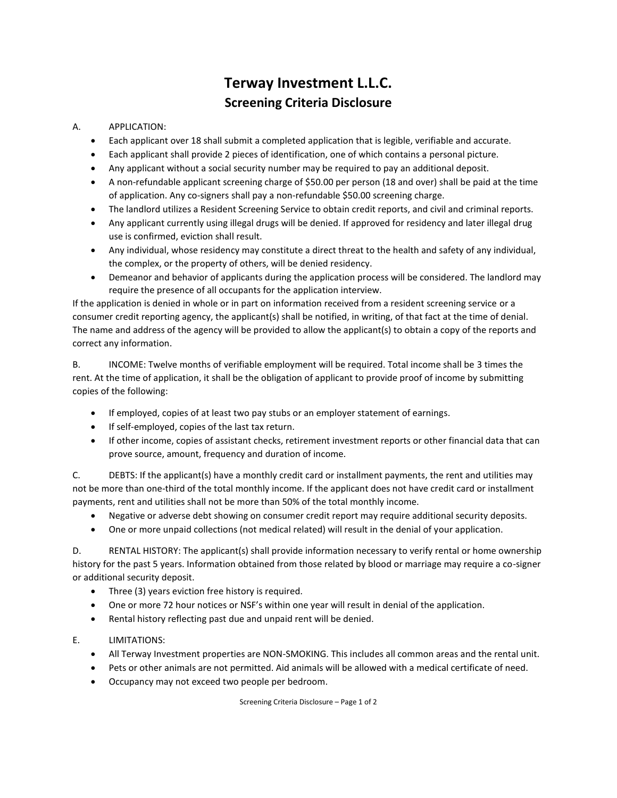## **Terway Investment L.L.C. Screening Criteria Disclosure**

## A. APPLICATION:

- Each applicant over 18 shall submit a completed application that is legible, verifiable and accurate.
- Each applicant shall provide 2 pieces of identification, one of which contains a personal picture.
- Any applicant without a social security number may be required to pay an additional deposit.
- A non-refundable applicant screening charge of \$50.00 per person (18 and over) shall be paid at the time of application. Any co-signers shall pay a non-refundable \$50.00 screening charge.
- The landlord utilizes a Resident Screening Service to obtain credit reports, and civil and criminal reports.
- Any applicant currently using illegal drugs will be denied. If approved for residency and later illegal drug use is confirmed, eviction shall result.
- Any individual, whose residency may constitute a direct threat to the health and safety of any individual, the complex, or the property of others, will be denied residency.
- Demeanor and behavior of applicants during the application process will be considered. The landlord may require the presence of all occupants for the application interview.

If the application is denied in whole or in part on information received from a resident screening service or a consumer credit reporting agency, the applicant(s) shall be notified, in writing, of that fact at the time of denial. The name and address of the agency will be provided to allow the applicant(s) to obtain a copy of the reports and correct any information.

B. INCOME: Twelve months of verifiable employment will be required. Total income shall be 3 times the rent. At the time of application, it shall be the obligation of applicant to provide proof of income by submitting copies of the following:

- If employed, copies of at least two pay stubs or an employer statement of earnings.
- If self-employed, copies of the last tax return.
- If other income, copies of assistant checks, retirement investment reports or other financial data that can prove source, amount, frequency and duration of income.

C. DEBTS: If the applicant(s) have a monthly credit card or installment payments, the rent and utilities may not be more than one-third of the total monthly income. If the applicant does not have credit card or installment payments, rent and utilities shall not be more than 50% of the total monthly income.

- Negative or adverse debt showing on consumer credit report may require additional security deposits.
- One or more unpaid collections (not medical related) will result in the denial of your application.

D. RENTAL HISTORY: The applicant(s) shall provide information necessary to verify rental or home ownership history for the past 5 years. Information obtained from those related by blood or marriage may require a co-signer or additional security deposit.

- Three (3) years eviction free history is required.
- One or more 72 hour notices or NSF's within one year will result in denial of the application.
- Rental history reflecting past due and unpaid rent will be denied.
- E. LIMITATIONS:
	- All Terway Investment properties are NON-SMOKING. This includes all common areas and the rental unit.
	- Pets or other animals are not permitted. Aid animals will be allowed with a medical certificate of need.
	- Occupancy may not exceed two people per bedroom.

Screening Criteria Disclosure – Page 1 of 2